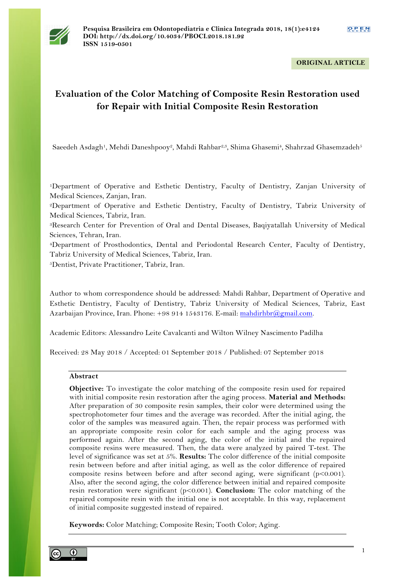

**ORIGINAL ARTICLE**

# **Evaluation of the Color Matching of Composite Resin Restoration used for Repair with Initial Composite Resin Restoration**

Saeedeh Asdagh<sup>1</sup>, Mehdi Daneshpooy<sup>2</sup>, Mahdi Rahbar<sup>2,3</sup>, Shima Ghasemi<sup>4</sup>, Shahrzad Ghasemzadeh<sup>5</sup>

1Department of Operative and Esthetic Dentistry, Faculty of Dentistry, Zanjan University of Medical Sciences, Zanjan, Iran.

2Department of Operative and Esthetic Dentistry, Faculty of Dentistry, Tabriz University of Medical Sciences, Tabriz, Iran.

3Research Center for Prevention of Oral and Dental Diseases, Baqiyatallah University of Medical Sciences, Tehran, Iran.

4Department of Prosthodontics, Dental and Periodontal Research Center, Faculty of Dentistry, Tabriz University of Medical Sciences, Tabriz, Iran.

5Dentist, Private Practitioner, Tabriz, Iran.

Author to whom correspondence should be addressed: Mahdi Rahbar, Department of Operative and Esthetic Dentistry, Faculty of Dentistry, Tabriz University of Medical Sciences, Tabriz, East Azarbaijan Province, Iran. Phone: +98 914 1543176. E-mail: mahdirhbr@gmail.com.

Academic Editors: Alessandro Leite Cavalcanti and Wilton Wilney Nascimento Padilha

Received: 28 May 2018 / Accepted: 01 September 2018 / Published: 07 September 2018

# **Abstract**

**Objective:** To investigate the color matching of the composite resin used for repaired with initial composite resin restoration after the aging process. **Material and Methods:** After preparation of 30 composite resin samples, their color were determined using the spectrophotometer four times and the average was recorded. After the initial aging, the color of the samples was measured again. Then, the repair process was performed with an appropriate composite resin color for each sample and the aging process was performed again. After the second aging, the color of the initial and the repaired composite resins were measured. Then, the data were analyzed by paired T-test. The level of significance was set at 5%. **Results:** The color difference of the initial composite resin between before and after initial aging, as well as the color difference of repaired composite resins between before and after second aging, were significant (p<0.001). Also, after the second aging, the color difference between initial and repaired composite resin restoration were significant (p<0.001). **Conclusion:** The color matching of the repaired composite resin with the initial one is not acceptable. In this way, replacement of initial composite suggested instead of repaired.

**Keywords:** Color Matching; Composite Resin; Tooth Color; Aging.

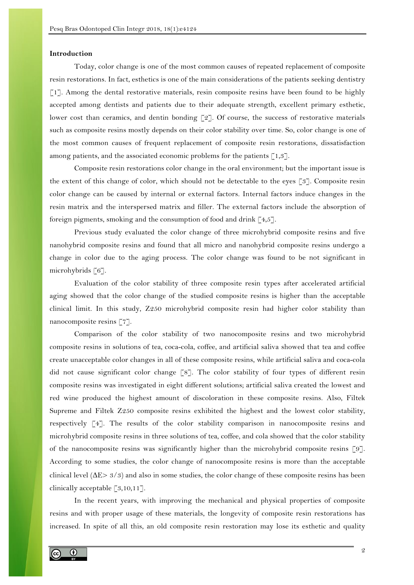## **Introduction**

Today, color change is one of the most common causes of repeated replacement of composite resin restorations. In fact, esthetics is one of the main considerations of the patients seeking dentistry [1]. Among the dental restorative materials, resin composite resins have been found to be highly accepted among dentists and patients due to their adequate strength, excellent primary esthetic, lower cost than ceramics, and dentin bonding [2]. Of course, the success of restorative materials such as composite resins mostly depends on their color stability over time. So, color change is one of the most common causes of frequent replacement of composite resin restorations, dissatisfaction among patients, and the associated economic problems for the patients  $\lceil 1,3 \rceil$ .

Composite resin restorations color change in the oral environment; but the important issue is the extent of this change of color, which should not be detectable to the eyes [3]. Composite resin color change can be caused by internal or external factors. Internal factors induce changes in the resin matrix and the interspersed matrix and filler. The external factors include the absorption of foreign pigments, smoking and the consumption of food and drink  $\lceil 4, 5 \rceil$ .

Previous study evaluated the color change of three microhybrid composite resins and five nanohybrid composite resins and found that all micro and nanohybrid composite resins undergo a change in color due to the aging process. The color change was found to be not significant in microhybrids [6].

Evaluation of the color stability of three composite resin types after accelerated artificial aging showed that the color change of the studied composite resins is higher than the acceptable clinical limit. In this study, Z250 microhybrid composite resin had higher color stability than nanocomposite resins [7].

Comparison of the color stability of two nanocomposite resins and two microhybrid composite resins in solutions of tea, coca-cola, coffee, and artificial saliva showed that tea and coffee create unacceptable color changes in all of these composite resins, while artificial saliva and coca-cola did not cause significant color change [8]. The color stability of four types of different resin composite resins was investigated in eight different solutions; artificial saliva created the lowest and red wine produced the highest amount of discoloration in these composite resins. Also, Filtek Supreme and Filtek Z250 composite resins exhibited the highest and the lowest color stability, respectively [4]. The results of the color stability comparison in nanocomposite resins and microhybrid composite resins in three solutions of tea, coffee, and cola showed that the color stability of the nanocomposite resins was significantly higher than the microhybrid composite resins [9]. According to some studies, the color change of nanocomposite resins is more than the acceptable clinical level  $(\Delta E > 3/3)$  and also in some studies, the color change of these composite resins has been clinically acceptable [3,10,11].

In the recent years, with improving the mechanical and physical properties of composite resins and with proper usage of these materials, the longevity of composite resin restorations has increased. In spite of all this, an old composite resin restoration may lose its esthetic and quality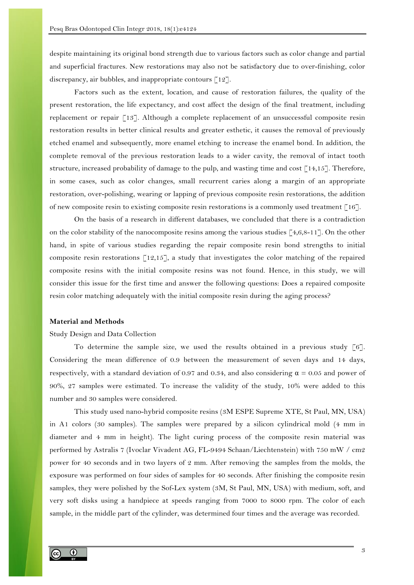despite maintaining its original bond strength due to various factors such as color change and partial and superficial fractures. New restorations may also not be satisfactory due to over-finishing, color discrepancy, air bubbles, and inappropriate contours [12].

Factors such as the extent, location, and cause of restoration failures, the quality of the present restoration, the life expectancy, and cost affect the design of the final treatment, including replacement or repair [13]. Although a complete replacement of an unsuccessful composite resin restoration results in better clinical results and greater esthetic, it causes the removal of previously etched enamel and subsequently, more enamel etching to increase the enamel bond. In addition, the complete removal of the previous restoration leads to a wider cavity, the removal of intact tooth structure, increased probability of damage to the pulp, and wasting time and cost [14,15]. Therefore, in some cases, such as color changes, small recurrent caries along a margin of an appropriate restoration, over-polishing, wearing or lapping of previous composite resin restorations, the addition of new composite resin to existing composite resin restorations is a commonly used treatment  $\lceil 16 \rceil$ .

On the basis of a research in different databases, we concluded that there is a contradiction on the color stability of the nanocomposite resins among the various studies  $[4,6,8-11]$ . On the other hand, in spite of various studies regarding the repair composite resin bond strengths to initial composite resin restorations  $\lceil 12,15 \rceil$ , a study that investigates the color matching of the repaired composite resins with the initial composite resins was not found. Hence, in this study, we will consider this issue for the first time and answer the following questions: Does a repaired composite resin color matching adequately with the initial composite resin during the aging process?

## **Material and Methods**

# Study Design and Data Collection

To determine the sample size, we used the results obtained in a previous study  $\lceil 6 \rceil$ . Considering the mean difference of 0.9 between the measurement of seven days and 14 days, respectively, with a standard deviation of 0.97 and 0.34, and also considering  $\alpha = 0.05$  and power of 90%, 27 samples were estimated. To increase the validity of the study, 10% were added to this number and 30 samples were considered.

This study used nano-hybrid composite resins (3M ESPE Supreme XTE, St Paul, MN, USA) in A1 colors (30 samples). The samples were prepared by a silicon cylindrical mold (4 mm in diameter and 4 mm in height). The light curing process of the composite resin material was performed by Astralis 7 (Ivoclar Vivadent AG, FL-9494 Schaan/Liechtenstein) with 750 mW / cm2 power for 40 seconds and in two layers of 2 mm. After removing the samples from the molds, the exposure was performed on four sides of samples for 40 seconds. After finishing the composite resin samples, they were polished by the Sof-Lex system (3M, St Paul, MN, USA) with medium, soft, and very soft disks using a handpiece at speeds ranging from 7000 to 8000 rpm. The color of each sample, in the middle part of the cylinder, was determined four times and the average was recorded.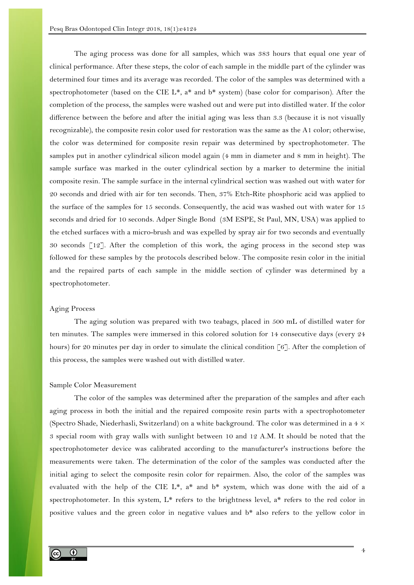The aging process was done for all samples, which was 383 hours that equal one year of clinical performance. After these steps, the color of each sample in the middle part of the cylinder was determined four times and its average was recorded. The color of the samples was determined with a spectrophotometer (based on the CIE  $L^*$ ,  $a^*$  and  $b^*$  system) (base color for comparison). After the completion of the process, the samples were washed out and were put into distilled water. If the color difference between the before and after the initial aging was less than 3.3 (because it is not visually recognizable), the composite resin color used for restoration was the same as the A1 color; otherwise, the color was determined for composite resin repair was determined by spectrophotometer. The samples put in another cylindrical silicon model again (4 mm in diameter and 8 mm in height). The sample surface was marked in the outer cylindrical section by a marker to determine the initial composite resin. The sample surface in the internal cylindrical section was washed out with water for 20 seconds and dried with air for ten seconds. Then, 37% Etch-Rite phosphoric acid was applied to the surface of the samples for 15 seconds. Consequently, the acid was washed out with water for 15 seconds and dried for 10 seconds. Adper Single Bond (3M ESPE, St Paul, MN, USA) was applied to the etched surfaces with a micro-brush and was expelled by spray air for two seconds and eventually 30 seconds [12]. After the completion of this work, the aging process in the second step was followed for these samples by the protocols described below. The composite resin color in the initial and the repaired parts of each sample in the middle section of cylinder was determined by a spectrophotometer.

# Aging Process

The aging solution was prepared with two teabags, placed in 500 mL of distilled water for ten minutes. The samples were immersed in this colored solution for 14 consecutive days (every 24 hours) for 20 minutes per day in order to simulate the clinical condition [6]. After the completion of this process, the samples were washed out with distilled water.

#### Sample Color Measurement

The color of the samples was determined after the preparation of the samples and after each aging process in both the initial and the repaired composite resin parts with a spectrophotometer (Spectro Shade, Niederhasli, Switzerland) on a white background. The color was determined in a  $4 \times$ 3 special room with gray walls with sunlight between 10 and 12 A.M. It should be noted that the spectrophotometer device was calibrated according to the manufacturer's instructions before the measurements were taken. The determination of the color of the samples was conducted after the initial aging to select the composite resin color for repairmen. Also, the color of the samples was evaluated with the help of the CIE  $L^*$ , a\* and  $b^*$  system, which was done with the aid of a spectrophotometer. In this system,  $L^*$  refers to the brightness level,  $a^*$  refers to the red color in positive values and the green color in negative values and b\* also refers to the yellow color in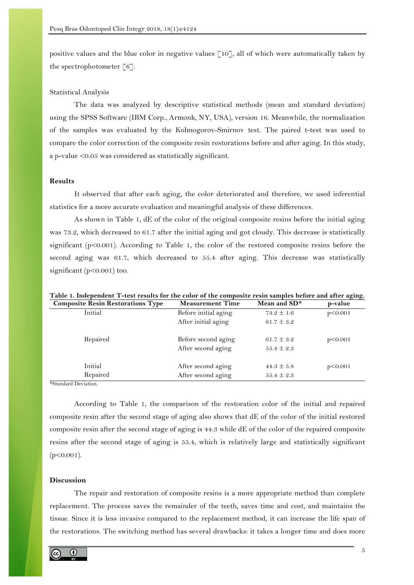positive values and the blue color in negative values [10], all of which were automatically taken by the spectrophotometer  $\lceil 6 \rceil$ .

## Statistical Analysis

The data was analyzed by descriptive statistical methods (mean and standard deviation) using the SPSS Software (IBM Corp., Armonk, NY, USA), version 16. Meanwhile, the normalization of the samples was evaluated by the Kolmogorov-Smirnov test. The paired t-test was used to compare the color correction of the composite resin restorations before and after aging. In this study, a p-value <0.05 was considered as statistically significant.

# **Results**

It observed that after each aging, the color deteriorated and therefore, we used inferential statistics for a more accurate evaluation and meaningful analysis of these differences.

As shown in Table 1, dE of the color of the original composite resins before the initial aging was 73.2, which decreased to 61.7 after the initial aging and got cloudy. This decrease is statistically significant (p<0.001). According to Table 1, the color of the restored composite resins before the second aging was 61.7, which decreased to 55.4 after aging. This decrease was statistically significant (p<0.001) too.

| <b>Composite Resin Restorations Type</b> | <b>Measurement Time</b> | Mean and SD*   | p-value |
|------------------------------------------|-------------------------|----------------|---------|
| Initial                                  | Before initial aging    | $73.2 \pm 1.6$ | p<0.001 |
|                                          | After initial aging     | 61.7 $\pm$ 3.2 |         |
| Repaired                                 | Before second aging     | 61.7 $\pm$ 3.2 | p<0.001 |
|                                          | After second aging      | $55.4 \pm 2.3$ |         |
| Initial                                  | After second aging      | $44.3 \pm 5.8$ | p<0.001 |
| Repaired                                 | After second aging      | $55.4 \pm 2.3$ |         |

**Table 1. Independent T-test results for the color of the composite resin samples before and after aging.**

\*Standard Deviation.

According to Table 1, the comparison of the restoration color of the initial and repaired composite resin after the second stage of aging also shows that dE of the color of the initial restored composite resin after the second stage of aging is 44.3 while dE of the color of the repaired composite resins after the second stage of aging is 55.4, which is relatively large and statistically significant  $(p<0.001)$ .

# **Discussion**

The repair and restoration of composite resins is a more appropriate method than complete replacement. The process saves the remainder of the teeth, saves time and cost, and maintains the tissue. Since it is less invasive compared to the replacement method, it can increase the life span of the restorations. The switching method has several drawbacks: it takes a longer time and does more

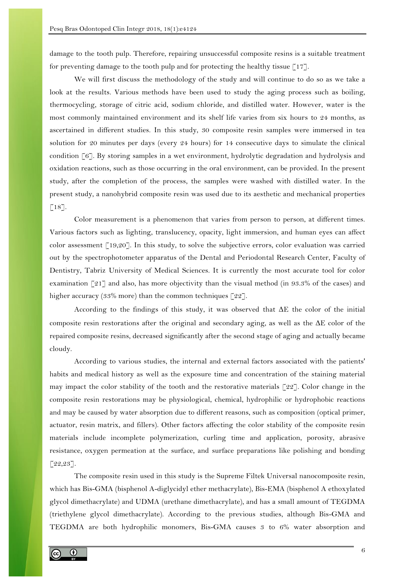damage to the tooth pulp. Therefore, repairing unsuccessful composite resins is a suitable treatment for preventing damage to the tooth pulp and for protecting the healthy tissue  $\lceil 17 \rceil$ .

We will first discuss the methodology of the study and will continue to do so as we take a look at the results. Various methods have been used to study the aging process such as boiling, thermocycling, storage of citric acid, sodium chloride, and distilled water. However, water is the most commonly maintained environment and its shelf life varies from six hours to 24 months, as ascertained in different studies. In this study, 30 composite resin samples were immersed in tea solution for 20 minutes per days (every 24 hours) for 14 consecutive days to simulate the clinical condition [6]. By storing samples in a wet environment, hydrolytic degradation and hydrolysis and oxidation reactions, such as those occurring in the oral environment, can be provided. In the present study, after the completion of the process, the samples were washed with distilled water. In the present study, a nanohybrid composite resin was used due to its aesthetic and mechanical properties  $\lceil 18 \rceil$ .

Color measurement is a phenomenon that varies from person to person, at different times. Various factors such as lighting, translucency, opacity, light immersion, and human eyes can affect color assessment [19,20]. In this study, to solve the subjective errors, color evaluation was carried out by the spectrophotometer apparatus of the Dental and Periodontal Research Center, Faculty of Dentistry, Tabriz University of Medical Sciences. It is currently the most accurate tool for color examination [21] and also, has more objectivity than the visual method (in 93.3% of the cases) and higher accuracy (33% more) than the common techniques [22].

According to the findings of this study, it was observed that  $\Delta E$  the color of the initial composite resin restorations after the original and secondary aging, as well as the  $\Delta E$  color of the repaired composite resins, decreased significantly after the second stage of aging and actually became cloudy.

According to various studies, the internal and external factors associated with the patients' habits and medical history as well as the exposure time and concentration of the staining material may impact the color stability of the tooth and the restorative materials  $\lceil 22 \rceil$ . Color change in the composite resin restorations may be physiological, chemical, hydrophilic or hydrophobic reactions and may be caused by water absorption due to different reasons, such as composition (optical primer, actuator, resin matrix, and fillers). Other factors affecting the color stability of the composite resin materials include incomplete polymerization, curling time and application, porosity, abrasive resistance, oxygen permeation at the surface, and surface preparations like polishing and bonding  $[22, 23]$ .

The composite resin used in this study is the Supreme Filtek Universal nanocomposite resin, which has Bis-GMA (bisphenol A-diglycidyl ether methacrylate), Bis-EMA (bisphenol A ethoxylated glycol dimethacrylate) and UDMA (urethane dimethacrylate), and has a small amount of TEGDMA (triethylene glycol dimethacrylate). According to the previous studies, although Bis-GMA and TEGDMA are both hydrophilic monomers, Bis-GMA causes 3 to 6% water absorption and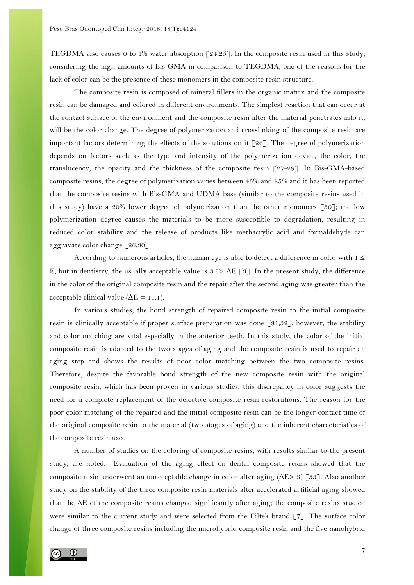TEGDMA also causes 0 to 1% water absorption [24,25]. In the composite resin used in this study, considering the high amounts of Bis-GMA in comparison to TEGDMA, one of the reasons for the lack of color can be the presence of these monomers in the composite resin structure.

The composite resin is composed of mineral fillers in the organic matrix and the composite resin can be damaged and colored in different environments. The simplest reaction that can occur at the contact surface of the environment and the composite resin after the material penetrates into it, will be the color change. The degree of polymerization and crosslinking of the composite resin are important factors determining the effects of the solutions on it  $\lceil 26 \rceil$ . The degree of polymerization depends on factors such as the type and intensity of the polymerization device, the color, the translucency, the opacity and the thickness of the composite resin [27-29]. In Bis-GMA-based composite resins, the degree of polymerization varies between 45% and 85% and it has been reported that the composite resins with Bis-GMA and UDMA base (similar to the composite resins used in this study) have a 20% lower degree of polymerization than the other monomers [30]; the low polymerization degree causes the materials to be more susceptible to degradation, resulting in reduced color stability and the release of products like methacrylic acid and formaldehyde can aggravate color change [26,30].

According to numerous articles, the human eye is able to detect a difference in color with  $1 \leq$ E; but in dentistry, the usually acceptable value is  $3.3 > \Delta E$  [3]. In the present study, the difference in the color of the original composite resin and the repair after the second aging was greater than the acceptable clinical value ( $\Delta E = 11.1$ ).

In various studies, the bond strength of repaired composite resin to the initial composite resin is clinically acceptable if proper surface preparation was done  $\lceil 31,32 \rceil$ ; however, the stability and color matching are vital especially in the anterior teeth. In this study, the color of the initial composite resin is adapted to the two stages of aging and the composite resin is used to repair an aging step and shows the results of poor color matching between the two composite resins. Therefore, despite the favorable bond strength of the new composite resin with the original composite resin, which has been proven in various studies, this discrepancy in color suggests the need for a complete replacement of the defective composite resin restorations. The reason for the poor color matching of the repaired and the initial composite resin can be the longer contact time of the original composite resin to the material (two stages of aging) and the inherent characteristics of the composite resin used.

A number of studies on the coloring of composite resins, with results similar to the present study, are noted. Evaluation of the aging effect on dental composite resins showed that the composite resin underwent an unacceptable change in color after aging (ΔE> 3) [33]. Also another study on the stability of the three composite resin materials after accelerated artificial aging showed that the ΔE of the composite resins changed significantly after aging; the composite resins studied were similar to the current study and were selected from the Filtek brand [7]. The surface color change of three composite resins including the microhybrid composite resin and the five nanohybrid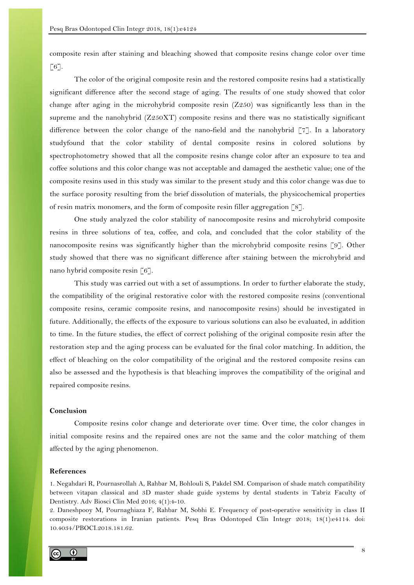composite resin after staining and bleaching showed that composite resins change color over time  $[6]$ .

The color of the original composite resin and the restored composite resins had a statistically significant difference after the second stage of aging. The results of one study showed that color change after aging in the microhybrid composite resin (Z250) was significantly less than in the supreme and the nanohybrid (Z250XT) composite resins and there was no statistically significant difference between the color change of the nano-field and the nanohybrid [7]. In a laboratory studyfound that the color stability of dental composite resins in colored solutions by spectrophotometry showed that all the composite resins change color after an exposure to tea and coffee solutions and this color change was not acceptable and damaged the aesthetic value; one of the composite resins used in this study was similar to the present study and this color change was due to the surface porosity resulting from the brief dissolution of materials, the physicochemical properties of resin matrix monomers, and the form of composite resin filler aggregation [8].

One study analyzed the color stability of nanocomposite resins and microhybrid composite resins in three solutions of tea, coffee, and cola, and concluded that the color stability of the nanocomposite resins was significantly higher than the microhybrid composite resins [9]. Other study showed that there was no significant difference after staining between the microhybrid and nano hybrid composite resin [6].

This study was carried out with a set of assumptions. In order to further elaborate the study, the compatibility of the original restorative color with the restored composite resins (conventional composite resins, ceramic composite resins, and nanocomposite resins) should be investigated in future. Additionally, the effects of the exposure to various solutions can also be evaluated, in addition to time. In the future studies, the effect of correct polishing of the original composite resin after the restoration step and the aging process can be evaluated for the final color matching. In addition, the effect of bleaching on the color compatibility of the original and the restored composite resins can also be assessed and the hypothesis is that bleaching improves the compatibility of the original and repaired composite resins.

# **Conclusion**

Composite resins color change and deteriorate over time. Over time, the color changes in initial composite resins and the repaired ones are not the same and the color matching of them affected by the aging phenomenon.

#### **References**

1. Negahdari R, Pournasrollah A, Rahbar M, Bohlouli S, Pakdel SM. Comparison of shade match compatibility between vitapan classical and 3D master shade guide systems by dental students in Tabriz Faculty of Dentistry. Adv Biosci Clin Med 2016; 4(1):4-10.

2. Daneshpooy M, Pournaghiaza F, Rahbar M, Sobhi E. Frequency of post-operative sensitivity in class II composite restorations in Iranian patients. Pesq Bras Odontoped Clin Integr 2018; 18(1):e4114. doi: 10.4034/PBOCI.2018.181.62.

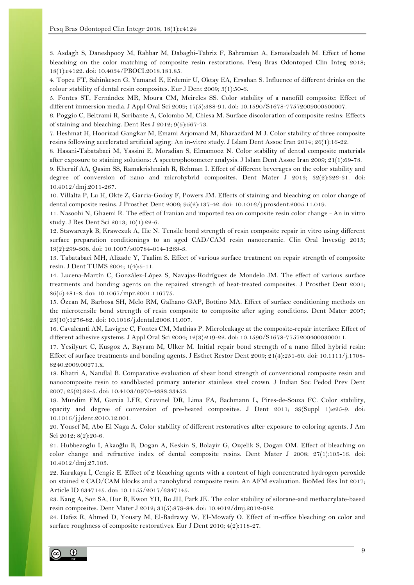3. Asdagh S, Daneshpooy M, Rahbar M, Dabaghi-Tabriz F, Bahramian A, Esmaielzadeh M. Effect of home bleaching on the color matching of composite resin restorations. Pesq Bras Odontoped Clin Integ 2018; 18(1):e4122. doi: 10.4034/PBOCI.2018.181.85.

4. Topcu FT, Sahinkesen G, Yamanel K, Erdemir U, Oktay EA, Ersahan S. Influence of different drinks on the colour stability of dental resin composites. Eur J Dent 2009; 3(1):50-6.

5. Fontes ST, Fernández MR, Moura CM, Meireles SS. Color stability of a nanofill composite: Effect of different immersion media. J Appl Oral Sci 2009; 17(5):388-91. doi: 10.1590/S1678-77572009000500007.

6. Poggio C, Beltrami R, Scribante A, Colombo M, Chiesa M. Surface discoloration of composite resins: Effects of staining and bleaching. Dent Res J 2012; 9(5):567-73.

7. Heshmat H, Hoorizad Gangkar M, Emami Arjomand M, Kharazifard M J. Color stability of three composite resins following accelerated artificial aging: An in-vitro study. J Islam Dent Assoc Iran 2014; 26(1):16-22.

8. Hasani-Tabatabaei M, Yassini E, Moradian S, Elmamooz N. Color stability of dental composite materials after exposure to staining solutions: A spectrophotometer analysis. J Islam Dent Assoc Iran 2009; 21(1):69-78.

9. Kheraif AA, Qasim SS, Ramakrishnaiah R, Rehman I. Effect of different beverages on the color stability and degree of conversion of nano and microhybrid composites. Dent Mater J 2013; 32(2):326-31. doi: 10.4012/dmj.2011-267.

10. Villalta P, Lu H, Okte Z, Garcia-Godoy F, Powers JM. Effects of staining and bleaching on color change of dental composite resins. J Prosthet Dent 2006; 95(2):137-42. doi: 10.1016/j.prosdent.2005.11.019.

11. Nasoohi N, Ghaemi R. The effect of Iranian and imported tea on composite resin color change - An in vitro study. J Res Dent Sci 2013; 10(1):22-6.

12. Stawarczyk B, Krawczuk A, Ilie N. Tensile bond strength of resin composite repair in vitro using different surface preparation conditionings to an aged CAD/CAM resin nanoceramic. Clin Oral Investig 2015; 19(2):299-308. doi: 10.1007/s00784-014-1269-3.

13. Tabatabaei MH, Alizade Y, Taalim S. Effect of various surface treatment on repair strength of composite resin. J Dent TUMS 2004; 1(4):5-11.

14. Lucena-Martín C, González-López S, Navajas-Rodríguez de Mondelo JM. The effect of various surface treatments and bonding agents on the repaired strength of heat-treated composites. J Prosthet Dent 2001; 86(5):481-8. doi: 10.1067/mpr.2001.116775.

15. Özcan M, Barbosa SH, Melo RM, Galhano GAP, Bottino MA. Effect of surface conditioning methods on the microtensile bond strength of resin composite to composite after aging conditions. Dent Mater 2007; 23(10):1276-82. doi: 10.1016/j.dental.2006.11.007.

16. Cavalcanti AN, Lavigne C, Fontes CM, Mathias P. Microleakage at the composite-repair interface: Effect of different adhesive systems. J Appl Oral Sci 2004; 12(3):219-22. doi: 10.1590/S1678-77572004000300011.

17. Yesilyurt C, Kusgoz A, Bayram M, Ulker M. Initial repair bond strength of a nano‐filled hybrid resin: Effect of surface treatments and bonding agents. J Esthet Restor Dent 2009; 21(4):251-60. doi: 10.1111/j.1708- 8240.2009.00271.x.

18. Khatri A, Nandlal B. Comparative evaluation of shear bond strength of conventional composite resin and nanocomposite resin to sandblasted primary anterior stainless steel crown. J Indian Soc Pedod Prev Dent 2007; 25(2):82-5. doi: 10.4103/0970-4388.33453.

19. Mundim FM, Garcia LFR, Cruvinel DR, Lima FA, Bachmann L, Pires-de-Souza FC. Color stability, opacity and degree of conversion of pre-heated composites. J Dent 2011; 39(Suppl 1):e25-9. doi: 10.1016/j.jdent.2010.12.001.

20. Yousef M, Abo El Naga A. Color stability of different restoratives after exposure to coloring agents. J Am Sci 2012; 8(2):20-6.

21. Hubbezoglu I, Akaoğlu B, Dogan A, Keskin S, Bolayir G, Ozçelik S, Dogan OM. Effect of bleaching on color change and refractive index of dental composite resins. Dent Mater J 2008; 27(1):105-16. doi: 10.4012/dmj.27.105.

22. Karakaya İ, Cengiz E. Effect of 2 bleaching agents with a content of high concentrated hydrogen peroxide on stained 2 CAD/CAM blocks and a nanohybrid composite resin: An AFM evaluation. BioMed Res Int 2017; Article ID 6347145. doi: 10.1155/2017/6347145.

23. Kang A, Son SA, Hur B, Kwon YH, Ro JH, Park JK. The color stability of silorane-and methacrylate-based resin composites. Dent Mater J 2012; 31(5):879-84. doi: 10.4012/dmj.2012-082.

24. Hafez R, Ahmed D, Yousry M, El-Badrawy W, El-Mowafy O. Effect of in-office bleaching on color and surface roughness of composite restoratives. Eur J Dent 2010; 4(2):118-27.